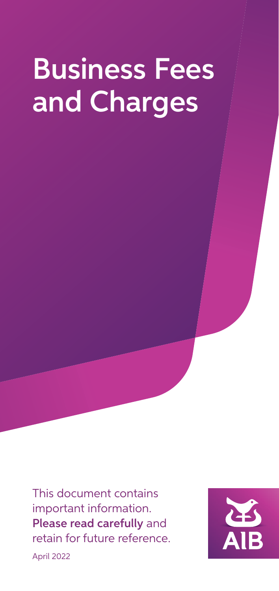# Business Fees and Charges

This document contains important information. Please read carefully and retain for future reference. April 2022

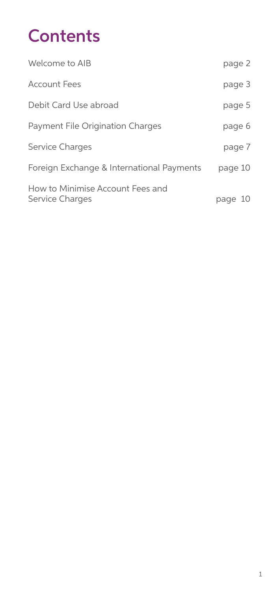# **Contents**

| Welcome to AIB                                             | page 2  |
|------------------------------------------------------------|---------|
| <b>Account Fees</b>                                        | page 3  |
| Debit Card Use abroad                                      | page 5  |
| <b>Payment File Origination Charges</b>                    | page 6  |
| <b>Service Charges</b>                                     | page 7  |
| Foreign Exchange & International Payments                  | page 10 |
| How to Minimise Account Fees and<br><b>Service Charges</b> | page 10 |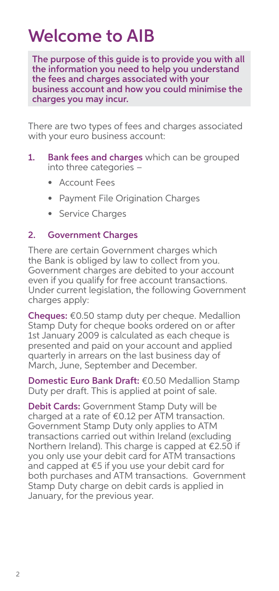### Welcome to AIB

The purpose of this guide is to provide you with all the information you need to help you understand the fees and charges associated with your business account and how you could minimise the charges you may incur.

There are two types of fees and charges associated with your euro business account:

- 1. Bank fees and charges which can be grouped into three categories –
	- Account Fees
	- Payment File Origination Charges
	- Service Charges

#### 2. Government Charges

There are certain Government charges which the Bank is obliged by law to collect from you. Government charges are debited to your account even if you qualify for free account transactions. Under current legislation, the following Government charges apply:

Cheques: €0.50 stamp duty per cheque. Medallion Stamp Duty for cheque books ordered on or after 1st January 2009 is calculated as each cheque is presented and paid on your account and applied quarterly in arrears on the last business day of March, June, September and December.

Domestic Euro Bank Draft: €0.50 Medallion Stamp Duty per draft. This is applied at point of sale.

Debit Cards: Government Stamp Duty will be charged at a rate of €0.12 per ATM transaction. Government Stamp Duty only applies to ATM transactions carried out within Ireland (excluding Northern Ireland). This charge is capped at €2.50 if you only use your debit card for ATM transactions and capped at €5 if you use your debit card for both purchases and ATM transactions. Government Stamp Duty charge on debit cards is applied in January, for the previous year.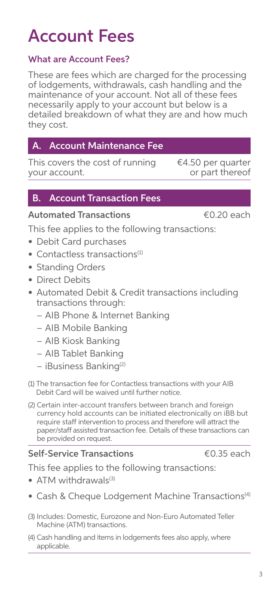# Account Fees

### What are Account Fees?

These are fees which are charged for the processing of lodgements, withdrawals, cash handling and the maintenance of your account. Not all of these fees necessarily apply to your account but below is a detailed breakdown of what they are and how much they cost.

### **Account Maintenance Fee**

This covers the cost of running your account.

### B. Account Transaction Fees

### Automated Transactions <del>€</del>0.20 each

This fee applies to the following transactions:

- Debit Card purchases
- $\bullet$  Contactless transactions $^{(1)}$
- Standing Orders
- Direct Debits
- Automated Debit & Credit transactions including transactions through:
	- AIB Phone & Internet Banking
	- AIB Mobile Banking
	- AIB Kiosk Banking
	- AIB Tablet Banking
	- iBusiness Banking(2)
- (1) The transaction fee for Contactless transactions with your AIB Debit Card will be waived until further notice.
- (2) Certain inter-account transfers between branch and foreign currency hold accounts can be initiated electronically on iBB but require staff intervention to process and therefore will attract the paper/staff assisted transaction fee. Details of these transactions can be provided on request.

### Self-Service Transactions **€0.35** each

This fee applies to the following transactions:

- ATM withdrawals $(3)$
- Cash & Cheque Lodgement Machine Transactions<sup>(4)</sup>
- (3) Includes: Domestic, Eurozone and Non-Euro Automated Teller Machine (ATM) transactions.
- (4) Cash handling and items in lodgements fees also apply, where applicable.

€4.50 per quarter or part thereof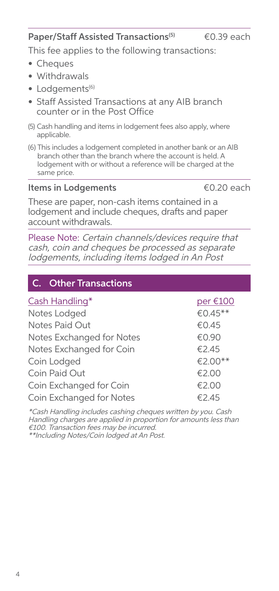#### Paper/Staff Assisted Transactions<sup>(5)</sup>  $\epsilon$ 0.39 each

This fee applies to the following transactions:

- Cheques
- Withdrawals
- $\bullet$  Lodgements<sup>(6)</sup>
- Staff Assisted Transactions at any AIB branch counter or in the Post Office
- (5) Cash handling and items in lodgement fees also apply, where applicable.
- (6) This includes a lodgement completed in another bank or an AIB branch other than the branch where the account is held. A lodgement with or without a reference will be charged at the same price.

### Items in Lodgements <del>€</del>0.20 each

These are paper, non-cash items contained in a lodgement and include cheques, drafts and paper account withdrawals.

Please Note: Certain channels/devices require that cash, coin and cheques be processed as separate lodgements, including items lodged in An Post

### C. Other Transactions

| Cash Handling*            | per €100 |
|---------------------------|----------|
| Notes Lodged              | €0.45**  |
| Notes Paid Out            | €0.45    |
| Notes Exchanged for Notes | €0.90    |
| Notes Exchanged for Coin  | €2.45    |
| Coin Lodged               | €2.00**  |
| Coin Paid Out             | €2.00    |
| Coin Exchanged for Coin   | €2.00    |
| Coin Exchanged for Notes  | €2.45    |

\*Cash Handling includes cashing cheques written by you. Cash Handling charges are applied in proportion for amounts less than €100. Transaction fees may be incurred. \*\*Including Notes/Coin lodged at An Post.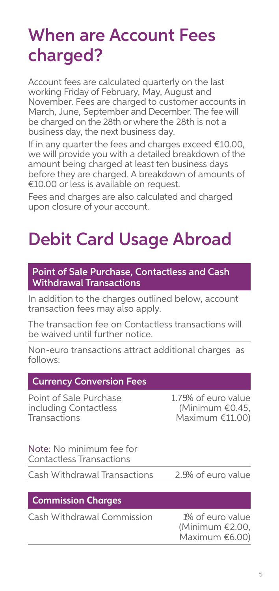## When are Account Fees charged?

Account fees are calculated quarterly on the last working Friday of February, May, August and November. Fees are charged to customer accounts in March, June, September and December. The fee will be charged on the 28th or where the 28th is not a business day, the next business day.

If in any quarter the fees and charges exceed €10.00, we will provide you with a detailed breakdown of the amount being charged at least ten business days before they are charged. A breakdown of amounts of €10.00 or less is available on request.

Fees and charges are also calculated and charged upon closure of your account.

# Debit Card Usage Abroad

Point of Sale Purchase, Contactless and Cash Withdrawal Transactions

In addition to the charges outlined below, account transaction fees may also apply.

The transaction fee on Contactless transactions will be waived until further notice.

Non-euro transactions attract additional charges as follows:

| <b>Currency Conversion Fees</b>                                 |                                                              |
|-----------------------------------------------------------------|--------------------------------------------------------------|
| Point of Sale Purchase<br>including Contactless<br>Transactions | 1.75% of euro value<br>(Minimum €0.45,<br>Maximum $£11.00$ ) |
| Note: No minimum fee for<br><b>Contactless Transactions</b>     |                                                              |
| Cash Withdrawal Transactions                                    | 2.5% of euro value                                           |
| <b>Commission Charges</b>                                       |                                                              |
| Cash Withdrawal Commission                                      | 1% of euro value<br>(Minimum €2.00,<br>Maximum €6.00)        |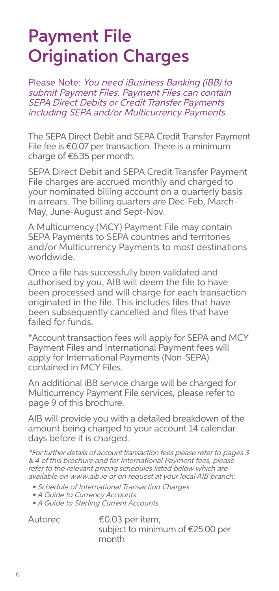# Payment File Origination Charges

Please Note: You need iBusiness Banking (iBB) to submit Payment Files. Payment Files can contain SEPA Direct Debits or Credit Transfer Payments including SEPA and/or Multicurrency Payments.

The SEPA Direct Debit and SEPA Credit Transfer Payment File fee is €0.07 per transaction. There is a minimum charge of €6.35 per month.

SEPA Direct Debit and SEPA Credit Transfer Payment File charges are accrued monthly and charged to your nominated billing account on a quarterly basis in arrears. The billing quarters are Dec-Feb, March-May, June-August and Sept-Nov.

A Multicurrency (MCY) Payment File may contain SEPA Payments to SEPA countries and territories and/or Multicurrency Payments to most destinations worldwide.

Once a file has successfully been validated and authorised by you, AIB will deem the file to have been processed and will charge for each transaction originated in the file. This includes files that have been subsequently cancelled and files that have failed for funds.

\*Account transaction fees will apply for SEPA and MCY Payment Files and International Payment fees will apply for International Payments (Non-SEPA) contained in MCY Files.

An additional iBB service charge will be charged for Multicurrency Payment File services, please refer to page 9 of this brochure.

AIB will provide you with a detailed breakdown of the amount being charged to your account 14 calendar days before it is charged.

\*For further details of account transaction fees please refer to pages 3 & 4 of this brochure and for International Payment fees, please refer to the relevant pricing schedules listed below which are available on www.aib.ie or on request at your local AIB branch:

- Schedule of International Transaction Charges
- A Guide to Currency Accounts
- A Guide to Sterling Current Accounts

Autorec €0.03 per item, subject to minimum of €25.00 per month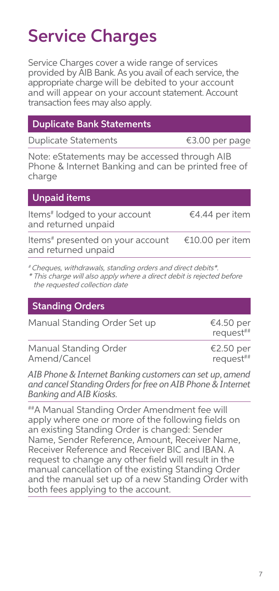# Service Charges

Service Charges cover a wide range of services provided by AIB Bank. As you avail of each service, the appropriate charge will be debited to your account and will appear on your account statement. Account transaction fees may also apply.

|  | <b>Duplicate Bank Statements!</b> |
|--|-----------------------------------|
|  |                                   |

Duplicate Statements €3.00 per page

Note: eStatements may be accessed through AIB Phone & Internet Banking and can be printed free of charge

| <b>Unpaid items</b>                                              |                 |
|------------------------------------------------------------------|-----------------|
| Items <sup>#</sup> lodged to your account<br>and returned unpaid | €4.44 per item  |
| Items# presented on your account<br>and returned unpaid          | €10.00 per item |

# Cheques, withdrawals, standing orders and direct debits\*.

\* This charge will also apply where a direct debit is rejected before the requested collection date

### Standing Orders

| Manual Standing Order Set up | €4.50 per<br>request## |
|------------------------------|------------------------|
| Manual Standing Order        | €2.50 per              |
| Amend/Cancel                 | request##              |

*AIB Phone & Internet Banking customers can set up, amend and cancel Standing Orders for free on AIB Phone & Internet Banking and AIB Kiosks.*

##A Manual Standing Order Amendment fee will apply where one or more of the following fields on an existing Standing Order is changed: Sender Name, Sender Reference, Amount, Receiver Name, Receiver Reference and Receiver BIC and IBAN. A request to change any other field will result in the manual cancellation of the existing Standing Order and the manual set up of a new Standing Order with both fees applying to the account.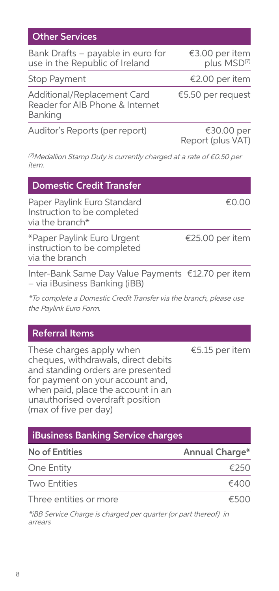| Bank Drafts – payable in euro for<br>use in the Republic of Ireland       | €3.00 per item<br>plus MSD(7)   |
|---------------------------------------------------------------------------|---------------------------------|
| Stop Payment                                                              | €2.00 per item                  |
| Additional/Replacement Card<br>Reader for AIB Phone & Internet<br>Banking | €5.50 per request               |
| Auditor's Reports (per report)                                            | €30.00 per<br>Report (plus VAT) |

(7)Medallion Stamp Duty is currently charged at a rate of €0.50 per item.

|  |  |  | <b>Domestic Credit Transfer</b> |  |
|--|--|--|---------------------------------|--|
|--|--|--|---------------------------------|--|

Other Services

Paper Paylink Euro Standard Instruction to be completed via the branch\*

\*Paper Paylink Euro Urgent instruction to be completed via the branch

Inter-Bank Same Day Value Payments €12.70 per item – via iBusiness Banking (iBB)

\*To complete a Domestic Credit Transfer via the branch, please use the Paylink Euro Form.

### Referral Items

These charges apply when cheques, withdrawals, direct debits and standing orders are presented for payment on your account and, when paid, place the account in an unauthorised overdraft position (max of five per day)

€5.15 per item

€25.00 per item

€0.00

### iBusiness Banking Service charges

| No of Entities                                                  | Annual Charge* |
|-----------------------------------------------------------------|----------------|
| One Entity                                                      | £250           |
| Two Entities                                                    | €400           |
| Three entities or more                                          | €500           |
| *iBB Service Charge is charged per quarter (or part thereof) in |                |

arrears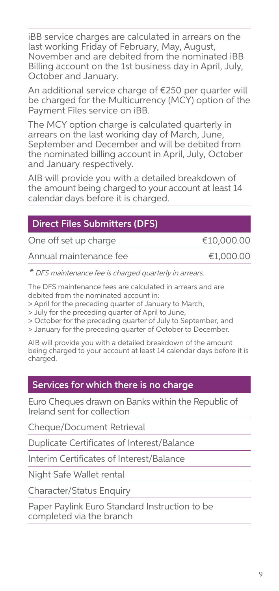iBB service charges are calculated in arrears on the last working Friday of February, May, August, November and are debited from the nominated iBB Billing account on the 1st business day in April, July, October and January.

An additional service charge of €250 per quarter will be charged for the Multicurrency (MCY) option of the Payment Files service on iBB.

The MCY option charge is calculated quarterly in arrears on the last working day of March, June, September and December and will be debited from the nominated billing account in April, July, October and January respectively.

AIB will provide you with a detailed breakdown of the amount being charged to your account at least 14 calendar days before it is charged.

### Direct Files Submitters (DFS)

One off set up charge **€10,000.00** 

Annual maintenance fee <del>€1,000.00</del>

\* DFS maintenance fee is charged quarterly in arrears.

The DFS maintenance fees are calculated in arrears and are debited from the nominated account in:

> April for the preceding quarter of January to March,

> July for the preceding quarter of April to June,

> October for the preceding quarter of July to September, and

> January for the preceding quarter of October to December.

AIB will provide you with a detailed breakdown of the amount being charged to your account at least 14 calendar days before it is charged.

### Services for which there is no charge

Euro Cheques drawn on Banks within the Republic of Ireland sent for collection

Cheque/Document Retrieval

Duplicate Certificates of Interest/Balance

Interim Certificates of Interest/Balance

Night Safe Wallet rental

Character/Status Enquiry

Paper Paylink Euro Standard Instruction to be completed via the branch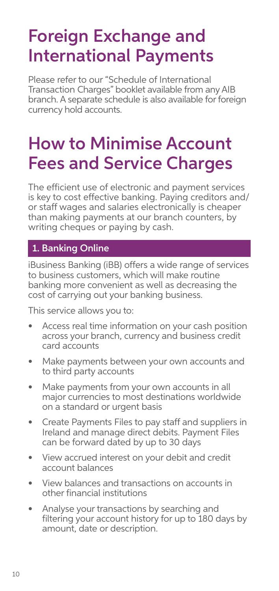# Foreign Exchange and International Payments

Please refer to our "Schedule of International Transaction Charges" booklet available from any AIB branch. A separate schedule is also available for foreign currency hold accounts.

## How to Minimise Account Fees and Service Charges

The efficient use of electronic and payment services is key to cost effective banking. Paying creditors and/ or staff wages and salaries electronically is cheaper than making payments at our branch counters, by writing cheques or paying by cash.

### 1. Banking Online

iBusiness Banking (iBB) offers a wide range of services to business customers, which will make routine banking more convenient as well as decreasing the cost of carrying out your banking business.

This service allows you to:

- Access real time information on your cash position across your branch, currency and business credit card accounts
- Make payments between your own accounts and to third party accounts
- Make payments from your own accounts in all major currencies to most destinations worldwide on a standard or urgent basis
- Create Payments Files to pay staff and suppliers in Ireland and manage direct debits. Payment Files can be forward dated by up to 30 days
- View accrued interest on your debit and credit account balances
- View balances and transactions on accounts in other financial institutions
- Analyse your transactions by searching and filtering your account history for up to 180 days by amount, date or description.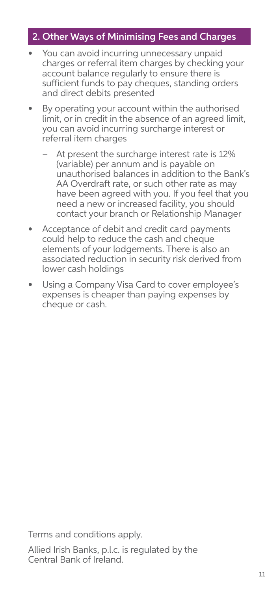### 2. Other Ways of Minimising Fees and Charges

- You can avoid incurring unnecessary unpaid charges or referral item charges by checking your account balance regularly to ensure there is sufficient funds to pay cheques, standing orders and direct debits presented
- By operating your account within the authorised limit, or in credit in the absence of an agreed limit, you can avoid incurring surcharge interest or referral item charges
	- At present the surcharge interest rate is 12% (variable) per annum and is payable on unauthorised balances in addition to the Bank's AA Overdraft rate, or such other rate as may have been agreed with you. If you feel that you need a new or increased facility, you should contact your branch or Relationship Manager
- Acceptance of debit and credit card payments could help to reduce the cash and cheque elements of your lodgements. There is also an associated reduction in security risk derived from lower cash holdings
- Using a Company Visa Card to cover employee's expenses is cheaper than paying expenses by cheque or cash.

Terms and conditions apply.

Allied Irish Banks, p.l.c. is regulated by the Central Bank of Ireland.